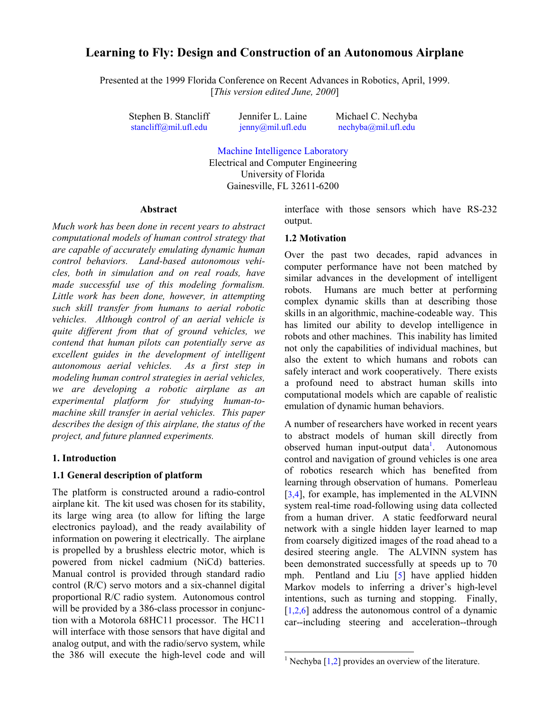# **Learning to Fly: Design and Construction of an Autonomous Airplane**

Presented at the 1999 Florida Conference on Recent Advances in Robotics, April, 1999. [*This version edited June, 2000*]

Stephen B. Stancliff [stancliff@mil.ufl.edu](mailto:stancliff@mil.ufl.edu)

Jennifer L. Laine [jenny@mil.ufl.edu](mailto:jenny@mil.ufl.edu) Michael C. Nechyba [nechyba@mil.ufl.edu](mailto:nechyba@mil.ufl.edu)

[Machine Intelligence Laboratory](http://www.mil.ufl.edu/) Electrical and Computer Engineering University of Florida

Gainesville, FL 32611-6200

l

#### **Abstract**

*Much work has been done in recent years to abstract computational models of human control strategy that are capable of accurately emulating dynamic human control behaviors. Land-based autonomous vehicles, both in simulation and on real roads, have made successful use of this modeling formalism. Little work has been done, however, in attempting such skill transfer from humans to aerial robotic vehicles. Although control of an aerial vehicle is quite different from that of ground vehicles, we contend that human pilots can potentially serve as excellent guides in the development of intelligent autonomous aerial vehicles. As a first step in modeling human control strategies in aerial vehicles, we are developing a robotic airplane as an experimental platform for studying human-tomachine skill transfer in aerial vehicles. This paper describes the design of this airplane, the status of the project, and future planned experiments.*

#### **1. Introduction**

#### **1.1 General description of platform**

The platform is constructed around a radio-control airplane kit. The kit used was chosen for its stability, its large wing area (to allow for lifting the large electronics payload), and the ready availability of information on powering it electrically. The airplane is propelled by a brushless electric motor, which is powered from nickel cadmium (NiCd) batteries. Manual control is provided through standard radio control (R/C) servo motors and a six-channel digital proportional R/C radio system. Autonomous control will be provided by a 386-class processor in conjunction with a Motorola 68HC11 processor. The HC11 will interface with those sensors that have digital and analog output, and with the radio/servo system, while the 386 will execute the high-level code and will

interface with those sensors which have RS-232 output.

#### **1.2 Motivation**

Over the past two decades, rapid advances in computer performance have not been matched by similar advances in the development of intelligent robots. Humans are much better at performing complex dynamic skills than at describing those skills in an algorithmic, machine-codeable way. This has limited our ability to develop intelligence in robots and other machines. This inability has limited not only the capabilities of individual machines, but also the extent to which humans and robots can safely interact and work cooperatively. There exists a profound need to abstract human skills into computational models which are capable of realistic emulation of dynamic human behaviors.

A number of researchers have worked in recent years to abstract models of human skill directly from observed human input-output data<sup>1</sup>. Autonomous control and navigation of ground vehicles is one area of robotics research which has benefited from learning through observation of humans. Pomerleau [\[3,4\]](#page-5-0), for example, has implemented in the ALVINN system real-time road-following using data collected from a human driver. A static feedforward neural network with a single hidden layer learned to map from coarsely digitized images of the road ahead to a desired steering angle. The ALVINN system has been demonstrated successfully at speeds up to 70 mph. Pentland and Liu [\[5](#page-5-0)] have applied hidden Markov models to inferring a driver's high-level intentions, such as turning and stopping. Finally,  $[1,2,6]$  address the autonomous control of a dynamic car--including steering and acceleration--through

<sup>&</sup>lt;sup>1</sup> Nechyba [\[1,2\]](#page-5-0) provides an overview of the literature.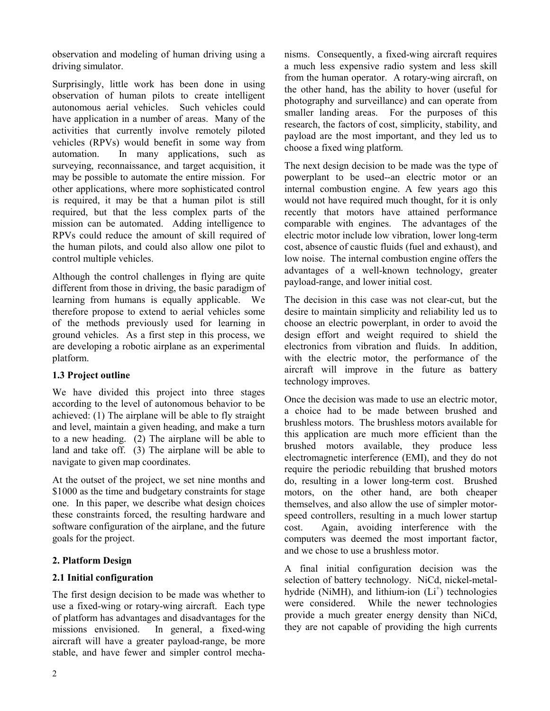observation and modeling of human driving using a driving simulator.

Surprisingly, little work has been done in using observation of human pilots to create intelligent autonomous aerial vehicles. Such vehicles could have application in a number of areas. Many of the activities that currently involve remotely piloted vehicles (RPVs) would benefit in some way from automation. In many applications, such as surveying, reconnaissance, and target acquisition, it may be possible to automate the entire mission. For other applications, where more sophisticated control is required, it may be that a human pilot is still required, but that the less complex parts of the mission can be automated. Adding intelligence to RPVs could reduce the amount of skill required of the human pilots, and could also allow one pilot to control multiple vehicles.

Although the control challenges in flying are quite different from those in driving, the basic paradigm of learning from humans is equally applicable. We therefore propose to extend to aerial vehicles some of the methods previously used for learning in ground vehicles. As a first step in this process, we are developing a robotic airplane as an experimental platform.

## **1.3 Project outline**

We have divided this project into three stages according to the level of autonomous behavior to be achieved: (1) The airplane will be able to fly straight and level, maintain a given heading, and make a turn to a new heading. (2) The airplane will be able to land and take off. (3) The airplane will be able to navigate to given map coordinates.

At the outset of the project, we set nine months and \$1000 as the time and budgetary constraints for stage one. In this paper, we describe what design choices these constraints forced, the resulting hardware and software configuration of the airplane, and the future goals for the project.

# **2. Platform Design**

## **2.1 Initial configuration**

The first design decision to be made was whether to use a fixed-wing or rotary-wing aircraft. Each type of platform has advantages and disadvantages for the missions envisioned. In general, a fixed-wing aircraft will have a greater payload-range, be more stable, and have fewer and simpler control mechanisms. Consequently, a fixed-wing aircraft requires a much less expensive radio system and less skill from the human operator. A rotary-wing aircraft, on the other hand, has the ability to hover (useful for photography and surveillance) and can operate from smaller landing areas. For the purposes of this research, the factors of cost, simplicity, stability, and payload are the most important, and they led us to choose a fixed wing platform.

The next design decision to be made was the type of powerplant to be used--an electric motor or an internal combustion engine. A few years ago this would not have required much thought, for it is only recently that motors have attained performance comparable with engines. The advantages of the electric motor include low vibration, lower long-term cost, absence of caustic fluids (fuel and exhaust), and low noise. The internal combustion engine offers the advantages of a well-known technology, greater payload-range, and lower initial cost.

The decision in this case was not clear-cut, but the desire to maintain simplicity and reliability led us to choose an electric powerplant, in order to avoid the design effort and weight required to shield the electronics from vibration and fluids. In addition, with the electric motor, the performance of the aircraft will improve in the future as battery technology improves.

Once the decision was made to use an electric motor, a choice had to be made between brushed and brushless motors. The brushless motors available for this application are much more efficient than the brushed motors available, they produce less electromagnetic interference (EMI), and they do not require the periodic rebuilding that brushed motors do, resulting in a lower long-term cost. Brushed motors, on the other hand, are both cheaper themselves, and also allow the use of simpler motorspeed controllers, resulting in a much lower startup cost. Again, avoiding interference with the computers was deemed the most important factor, and we chose to use a brushless motor.

A final initial configuration decision was the selection of battery technology. NiCd, nickel-metalhydride (NiMH), and lithium-ion  $(L<sup>+</sup>)$  technologies were considered. While the newer technologies provide a much greater energy density than NiCd, they are not capable of providing the high currents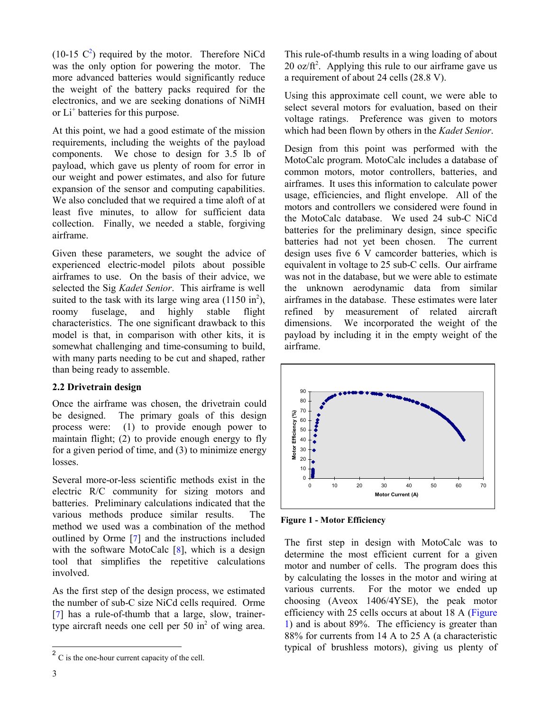(10-15  $C^2$ ) required by the motor. Therefore NiCd was the only option for powering the motor. The more advanced batteries would significantly reduce the weight of the battery packs required for the electronics, and we are seeking donations of NiMH or Li<sup>+</sup> batteries for this purpose.

At this point, we had a good estimate of the mission requirements, including the weights of the payload components. We chose to design for 3.5 lb of payload, which gave us plenty of room for error in our weight and power estimates, and also for future expansion of the sensor and computing capabilities. We also concluded that we required a time aloft of at least five minutes, to allow for sufficient data collection. Finally, we needed a stable, forgiving airframe.

Given these parameters, we sought the advice of experienced electric-model pilots about possible airframes to use. On the basis of their advice, we selected the Sig *Kadet Senior*. This airframe is well suited to the task with its large wing area  $(1150 \text{ in}^2)$ , roomy fuselage, and highly stable flight characteristics. The one significant drawback to this model is that, in comparison with other kits, it is somewhat challenging and time-consuming to build, with many parts needing to be cut and shaped, rather than being ready to assemble.

### **2.2 Drivetrain design**

Once the airframe was chosen, the drivetrain could be designed. The primary goals of this design process were: (1) to provide enough power to maintain flight; (2) to provide enough energy to fly for a given period of time, and (3) to minimize energy losses.

Several more-or-less scientific methods exist in the electric R/C community for sizing motors and batteries. Preliminary calculations indicated that the various methods produce similar results. The method we used was a combination of the method outlined by Orme [[7\]](#page-5-0) and the instructions included with the software MotoCalc [[8\]](#page-5-0), which is a design tool that simplifies the repetitive calculations involved.

As the first step of the design process, we estimated the number of sub-C size NiCd cells required. Orme [[7\]](#page-5-0) has a rule-of-thumb that a large, slow, trainertype aircraft needs one cell per  $50$  in<sup>2</sup> of wing area.

This rule-of-thumb results in a wing loading of about 20 oz/ $ft^2$ . Applying this rule to our airframe gave us a requirement of about 24 cells (28.8 V).

Using this approximate cell count, we were able to select several motors for evaluation, based on their voltage ratings. Preference was given to motors which had been flown by others in the *Kadet Senior*.

Design from this point was performed with the MotoCalc program. MotoCalc includes a database of common motors, motor controllers, batteries, and airframes. It uses this information to calculate power usage, efficiencies, and flight envelope. All of the motors and controllers we considered were found in the MotoCalc database. We used 24 sub-C NiCd batteries for the preliminary design, since specific batteries had not yet been chosen. The current design uses five 6 V camcorder batteries, which is equivalent in voltage to 25 sub-C cells. Our airframe was not in the database, but we were able to estimate the unknown aerodynamic data from similar airframes in the database. These estimates were later refined by measurement of related aircraft dimensions. We incorporated the weight of the payload by including it in the empty weight of the airframe.



**Figure 1 - Motor Efficiency**

The first step in design with MotoCalc was to determine the most efficient current for a given motor and number of cells. The program does this by calculating the losses in the motor and wiring at various currents. For the motor we ended up choosing (Aveox 1406/4YSE), the peak motor efficiency with 25 cells occurs at about 18 A (Figure 1) and is about 89%. The efficiency is greater than 88% for currents from 14 A to 25 A (a characteristic typical of brushless motors), giving us plenty of

 $\overline{a}$ 

 $2^2$  C is the one-hour current capacity of the cell.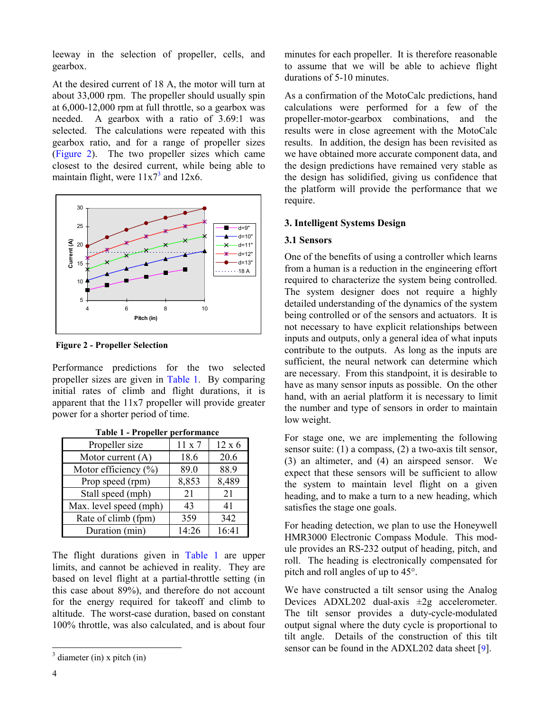leeway in the selection of propeller, cells, and gearbox.

At the desired current of 18 A, the motor will turn at about 33,000 rpm. The propeller should usually spin at 6,000-12,000 rpm at full throttle, so a gearbox was needed. A gearbox with a ratio of 3.69:1 was selected. The calculations were repeated with this gearbox ratio, and for a range of propeller sizes (Figure 2). The two propeller sizes which came closest to the desired current, while being able to maintain flight, were  $11x7<sup>3</sup>$  and  $12x6$ .



**Figure 2 - Propeller Selection**

Performance predictions for the two selected propeller sizes are given in Table 1. By comparing initial rates of climb and flight durations, it is apparent that the 11x7 propeller will provide greater power for a shorter period of time.

| rabit i ropenci          | per ioi manee |               |
|--------------------------|---------------|---------------|
| Propeller size           | $11 \times 7$ | $12 \times 6$ |
| Motor current $(A)$      | 18.6          | 20.6          |
| Motor efficiency $(\% )$ | 89.0          | 88.9          |
| Prop speed (rpm)         | 8,853         | 8,489         |
| Stall speed (mph)        | 21            | 21            |
| Max. level speed (mph)   | 43            | 41            |
| Rate of climb (fpm)      | 359           | 342           |
| Duration (min)           | 14:26         | 16:41         |

| Table 1 - Propeller performance |
|---------------------------------|
|---------------------------------|

The flight durations given in Table 1 are upper limits, and cannot be achieved in reality. They are based on level flight at a partial-throttle setting (in this case about 89%), and therefore do not account for the energy required for takeoff and climb to altitude. The worst-case duration, based on constant 100% throttle, was also calculated, and is about four minutes for each propeller. It is therefore reasonable to assume that we will be able to achieve flight durations of 5-10 minutes.

As a confirmation of the MotoCalc predictions, hand calculations were performed for a few of the propeller-motor-gearbox combinations, and the results were in close agreement with the MotoCalc results. In addition, the design has been revisited as we have obtained more accurate component data, and the design predictions have remained very stable as the design has solidified, giving us confidence that the platform will provide the performance that we require.

## **3. Intelligent Systems Design**

### **3.1 Sensors**

One of the benefits of using a controller which learns from a human is a reduction in the engineering effort required to characterize the system being controlled. The system designer does not require a highly detailed understanding of the dynamics of the system being controlled or of the sensors and actuators. It is not necessary to have explicit relationships between inputs and outputs, only a general idea of what inputs contribute to the outputs. As long as the inputs are sufficient, the neural network can determine which are necessary. From this standpoint, it is desirable to have as many sensor inputs as possible. On the other hand, with an aerial platform it is necessary to limit the number and type of sensors in order to maintain low weight.

For stage one, we are implementing the following sensor suite: (1) a compass, (2) a two-axis tilt sensor, (3) an altimeter, and (4) an airspeed sensor. We expect that these sensors will be sufficient to allow the system to maintain level flight on a given heading, and to make a turn to a new heading, which satisfies the stage one goals.

For heading detection, we plan to use the Honeywell HMR3000 Electronic Compass Module. This module provides an RS-232 output of heading, pitch, and roll. The heading is electronically compensated for pitch and roll angles of up to 45°.

We have constructed a tilt sensor using the Analog Devices  $ADXL202$  dual-axis  $\pm 2g$  accelerometer. The tilt sensor provides a duty-cycle-modulated output signal where the duty cycle is proportional to tilt angle. Details of the construction of this tilt sensor can be found in the ADXL202 data sheet [[9\]](#page-5-0).

-

 $3$  diameter (in) x pitch (in)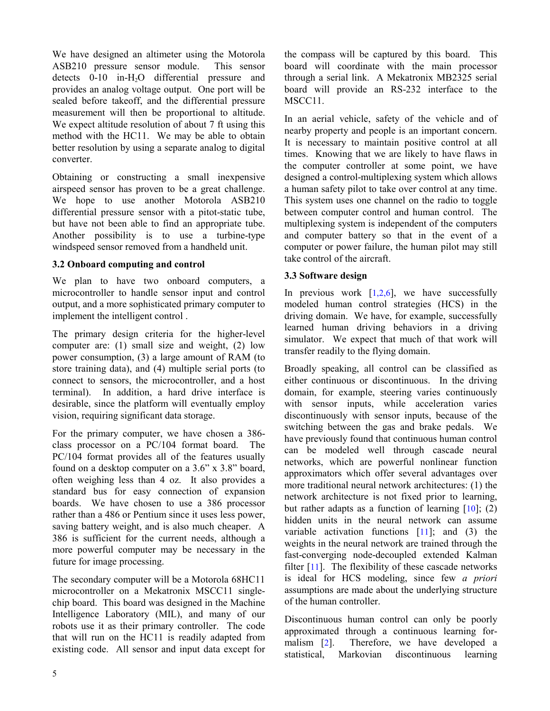We have designed an altimeter using the Motorola ASB210 pressure sensor module. This sensor detects 0-10 in-H<sub>2</sub>O differential pressure and provides an analog voltage output. One port will be sealed before takeoff, and the differential pressure measurement will then be proportional to altitude. We expect altitude resolution of about 7 ft using this method with the HC11. We may be able to obtain better resolution by using a separate analog to digital converter.

Obtaining or constructing a small inexpensive airspeed sensor has proven to be a great challenge. We hope to use another Motorola ASB210 differential pressure sensor with a pitot-static tube, but have not been able to find an appropriate tube. Another possibility is to use a turbine-type windspeed sensor removed from a handheld unit.

### **3.2 Onboard computing and control**

We plan to have two onboard computers, a microcontroller to handle sensor input and control output, and a more sophisticated primary computer to implement the intelligent control .

The primary design criteria for the higher-level computer are: (1) small size and weight, (2) low power consumption, (3) a large amount of RAM (to store training data), and (4) multiple serial ports (to connect to sensors, the microcontroller, and a host terminal). In addition, a hard drive interface is desirable, since the platform will eventually employ vision, requiring significant data storage.

For the primary computer, we have chosen a 386 class processor on a PC/104 format board. The PC/104 format provides all of the features usually found on a desktop computer on a 3.6" x 3.8" board, often weighing less than 4 oz. It also provides a standard bus for easy connection of expansion boards. We have chosen to use a 386 processor rather than a 486 or Pentium since it uses less power, saving battery weight, and is also much cheaper. A 386 is sufficient for the current needs, although a more powerful computer may be necessary in the future for image processing.

The secondary computer will be a Motorola 68HC11 microcontroller on a Mekatronix MSCC11 singlechip board. This board was designed in the Machine Intelligence Laboratory (MIL), and many of our robots use it as their primary controller. The code that will run on the HC11 is readily adapted from existing code. All sensor and input data except for the compass will be captured by this board. This board will coordinate with the main processor through a serial link. A Mekatronix MB2325 serial board will provide an RS-232 interface to the MSCC11.

In an aerial vehicle, safety of the vehicle and of nearby property and people is an important concern. It is necessary to maintain positive control at all times. Knowing that we are likely to have flaws in the computer controller at some point, we have designed a control-multiplexing system which allows a human safety pilot to take over control at any time. This system uses one channel on the radio to toggle between computer control and human control. The multiplexing system is independent of the computers and computer battery so that in the event of a computer or power failure, the human pilot may still take control of the aircraft.

### **3.3 Software design**

In previous work  $[1,2,6]$ , we have successfully modeled human control strategies (HCS) in the driving domain. We have, for example, successfully learned human driving behaviors in a driving simulator. We expect that much of that work will transfer readily to the flying domain.

Broadly speaking, all control can be classified as either continuous or discontinuous. In the driving domain, for example, steering varies continuously with sensor inputs, while acceleration varies discontinuously with sensor inputs, because of the switching between the gas and brake pedals. We have previously found that continuous human control can be modeled well through cascade neural networks, which are powerful nonlinear function approximators which offer several advantages over more traditional neural network architectures: (1) the network architecture is not fixed prior to learning, but rather adapts as a function of learning  $[10]$ ; (2) hidden units in the neural network can assume variable activation functions [\[11\]](#page-5-0); and (3) the weights in the neural network are trained through the fast-converging node-decoupled extended Kalman filter  $[11]$ . The flexibility of these cascade networks is ideal for HCS modeling, since few *a priori* assumptions are made about the underlying structure of the human controller.

Discontinuous human control can only be poorly approximated through a continuous learning formalism [\[2\]](#page-5-0). Therefore, we have developed a statistical, Markovian discontinuous learning